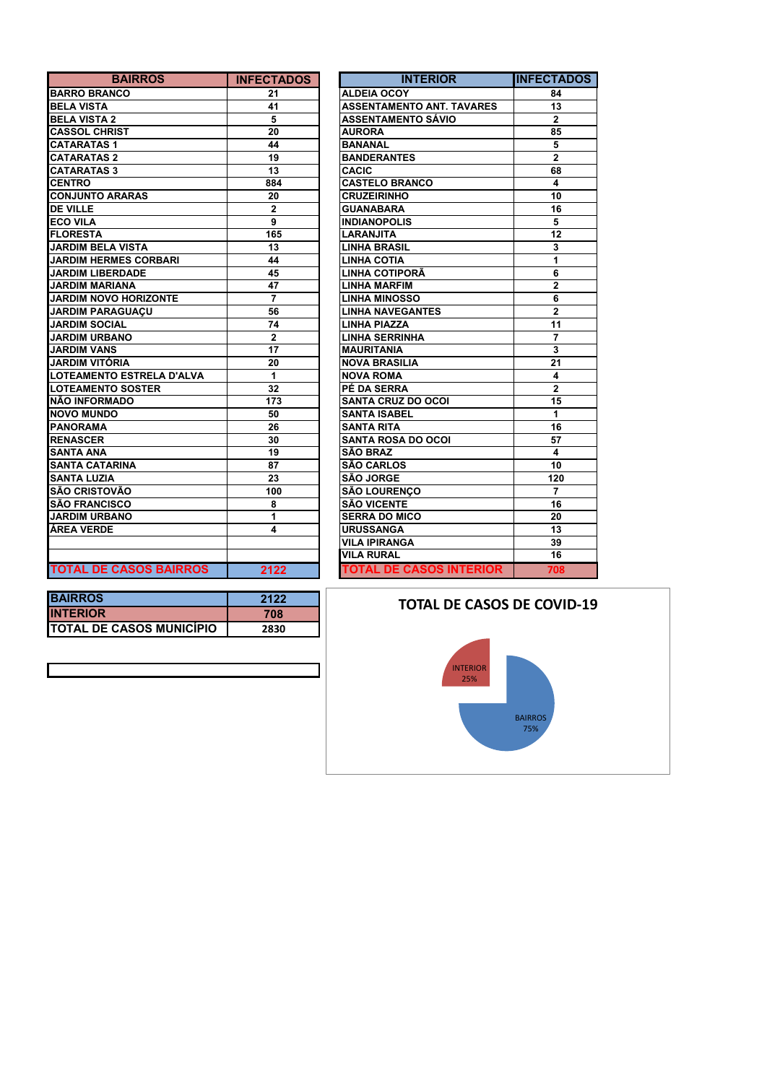| <b>BAIRROS</b>                | <b>INFECTADOS</b> | <b>INTERIOR</b>                  | <b>INFECTA</b>          |
|-------------------------------|-------------------|----------------------------------|-------------------------|
| <b>BARRO BRANCO</b>           | 21                | <b>ALDEIA OCOY</b>               | 84                      |
| <b>BELA VISTA</b>             | 41                | <b>ASSENTAMENTO ANT. TAVARES</b> | 13                      |
| <b>BELA VISTA 2</b>           | 5                 | ASSENTAMENTO SÁVIO               | $\overline{2}$          |
| <b>CASSOL CHRIST</b>          | 20                | <b>AURORA</b>                    | 85                      |
| <b>CATARATAS1</b>             | 44                | <b>BANANAL</b>                   | 5                       |
| <b>CATARATAS 2</b>            | 19                | <b>BANDERANTES</b>               | $\overline{2}$          |
| <b>CATARATAS 3</b>            | 13                | <b>CACIC</b>                     | 68                      |
| <b>CENTRO</b>                 | 884               | <b>CASTELO BRANCO</b>            | 4                       |
| <b>CONJUNTO ARARAS</b>        | 20                | <b>CRUZEIRINHO</b>               | 10                      |
| <b>DE VILLE</b>               | $\mathbf{2}$      | <b>GUANABARA</b>                 | 16                      |
| <b>ECO VILA</b>               | 9                 | <b>INDIANOPOLIS</b>              | 5                       |
| <b>FLORESTA</b>               | 165               | LARANJITA                        | 12                      |
| <b>JARDIM BELA VISTA</b>      | 13                | <b>LINHA BRASIL</b>              | 3                       |
| <b>JARDIM HERMES CORBARI</b>  | 44                | <b>LINHA COTIA</b>               | 1                       |
| <b>JARDIM LIBERDADE</b>       | 45                | LINHA COTIPORÃ                   | 6                       |
| <b>JARDIM MARIANA</b>         | 47                | <b>LINHA MARFIM</b>              | $\overline{\mathbf{2}}$ |
| <b>JARDIM NOVO HORIZONTE</b>  | $\overline{7}$    | <b>LINHA MINOSSO</b>             | 6                       |
| <b>JARDIM PARAGUACU</b>       | 56                | <b>LINHA NAVEGANTES</b>          | $\mathbf{2}$            |
| <b>JARDIM SOCIAL</b>          | 74                | <b>LINHA PIAZZA</b>              | 11                      |
| <b>JARDIM URBANO</b>          | $\mathbf{2}$      | <b>LINHA SERRINHA</b>            | $\overline{7}$          |
| <b>JARDIM VANS</b>            | 17                | <b>MAURITANIA</b>                | 3                       |
| JARDIM VITÓRIA                | 20                | <b>NOVA BRASILIA</b>             | 21                      |
| LOTEAMENTO ESTRELA D'ALVA     | 1                 | <b>NOVA ROMA</b>                 | 4                       |
| <b>LOTEAMENTO SOSTER</b>      | 32                | PÉ DA SERRA                      | $\overline{2}$          |
| NÃO INFORMADO                 | 173               | <b>SANTA CRUZ DO OCOI</b>        | 15                      |
| <b>NOVO MUNDO</b>             | 50                | <b>SANTA ISABEL</b>              | 1.                      |
| <b>PANORAMA</b>               | 26                | <b>SANTA RITA</b>                | 16                      |
| <b>RENASCER</b>               | 30                | <b>SANTA ROSA DO OCOI</b>        | 57                      |
| <b>SANTA ANA</b>              | 19                | <b>SÃO BRAZ</b>                  | $\overline{\mathbf{4}}$ |
| <b>SANTA CATARINA</b>         | 87                | <b>SÃO CARLOS</b>                | 10                      |
| <b>SANTA LUZIA</b>            | 23                | SÃO JORGE                        | 120                     |
| <b>SÃO CRISTOVÃO</b>          | 100               | <b>SÃO LOURENCO</b>              | $\overline{7}$          |
| <b>SÃO FRANCISCO</b>          | 8                 | <b>SÃO VICENTE</b>               | 16                      |
| <b>JARDIM URBANO</b>          | 1                 | <b>SERRA DO MICO</b>             | 20                      |
| ÁREA VERDE                    | 4                 | <b>URUSSANGA</b>                 | 13                      |
|                               |                   | <b>VILA IPIRANGA</b>             | 39                      |
|                               |                   | <b>VILA RURAL</b>                | 16                      |
| <b>TOTAL DE CASOS BAIRROS</b> | 2122              | <b>TOTAL DE CASOS INTERIOR</b>   | 708                     |

| <b>BAIRROS</b>       | <b>INFECTADOS</b> | <b>INTERIOR</b>                  | <b>INFECTADOS</b> |
|----------------------|-------------------|----------------------------------|-------------------|
| ŃС                   | 21                | <b>ALDEIA OCOY</b>               | 84                |
|                      | 41                | <b>ASSENTAMENTO ANT. TAVARES</b> | 13                |
| 2                    | 5                 | <b>ASSENTAMENTO SÁVIO</b>        | $\mathbf{2}$      |
| <b>IST</b>           | 20                | <b>AURORA</b>                    | 85                |
| 1                    | 44                | <b>BANANAL</b>                   | 5                 |
| $\overline{2}$       | 19                | <b>BANDERANTES</b>               | $\overline{2}$    |
| 3                    | 13                | <b>CACIC</b>                     | 68                |
|                      | 884               | <b>CASTELO BRANCO</b>            | 4                 |
| <b>RARAS</b>         | 20                | <b>CRUZEIRINHO</b>               | 10                |
|                      | $\overline{2}$    | <b>GUANABARA</b>                 | 16                |
|                      | 9                 | <b>INDIANOPOLIS</b>              | 5                 |
|                      | 165               | <b>LARANJITA</b>                 | 12                |
| A VISTA              | 13                | <b>LINHA BRASIL</b>              | 3                 |
| <b>MES CORBARI</b>   | 44                | <b>LINHA COTIA</b>               | 1                 |
| <b>RDADE</b>         | 45                | LINHA COTIPORÃ                   | 6                 |
| <b>ANAI</b>          | 47                | <b>LINHA MARFIM</b>              | $\overline{2}$    |
| <b>O HORIZONTE</b>   | $\overline{7}$    | <b>LINHA MINOSSO</b>             | 6                 |
| <b>AGUACU</b>        | 56                | <b>LINHA NAVEGANTES</b>          | $\mathbf{2}$      |
| IAL                  | 74                | <b>LINHA PIAZZA</b>              | 11                |
| <b>ANO</b>           | $\overline{2}$    | <b>LINHA SERRINHA</b>            | 7                 |
| s                    | 17                | <b>MAURITANIA</b>                | 3                 |
| <b>RIA</b>           | 20                | <b>NOVA BRASILIA</b>             | 21                |
| O ESTRELA D'ALVA     | 1                 | <b>NOVA ROMA</b>                 | 4                 |
| <b>D SOSTER</b>      | 32                | PÉ DA SERRA                      | $\overline{2}$    |
| <b>ADO</b>           | 173               | <b>SANTA CRUZ DO OCOI</b>        | 15                |
| O                    | 50                | <b>SANTA ISABEL</b>              | 1                 |
|                      | 26                | <b>SANTA RITA</b>                | 16                |
|                      | 30                | <b>SANTA ROSA DO OCOI</b>        | 57                |
|                      | 19                | <b>SÃO BRAZ</b>                  | 4                 |
| RINA                 | 87                | <b>SÃO CARLOS</b>                | 10                |
|                      | 23                | <b>SÃO JORGE</b>                 | 120               |
| VÃO                  | 100               | <b>SÃO LOURENÇO</b>              | $\overline{7}$    |
| sco                  | 8                 | <b>SÃO VICENTE</b>               | 16                |
| <b>ANO</b>           | 1                 | <b>SERRA DO MICO</b>             | 20                |
|                      | 4                 | <b>URUSSANGA</b>                 | 13                |
|                      |                   | <b>VILA IPIRANGA</b>             | 39                |
|                      |                   | <b>VILA RURAL</b>                | 16                |
| <b>CASOS BAIRROS</b> | 2122              | <b>TOTAL DE CASOS INTERIOR</b>   | 708               |

| <b>IBAIRROS</b>                  | 2122 |
|----------------------------------|------|
| <b>INTERIOR</b>                  | 708  |
| <b>ITOTAL DE CASOS MUNICÍPIO</b> | 2830 |

## **TOTAL DE CASOS DE COVID-19**

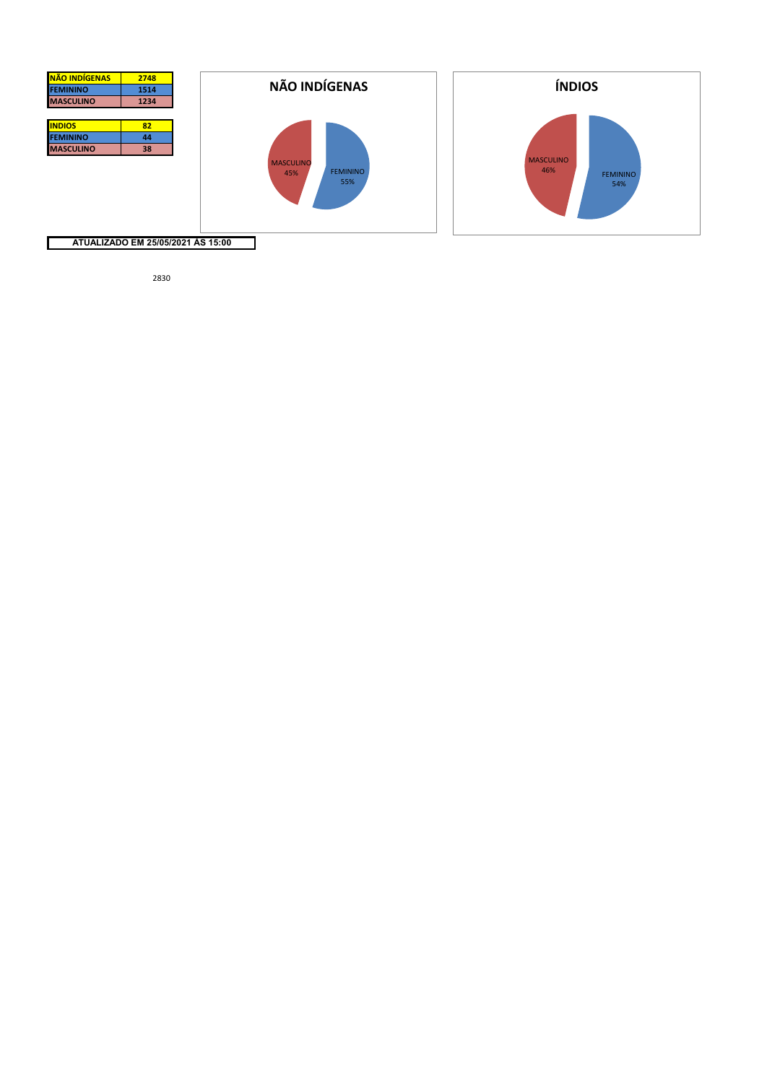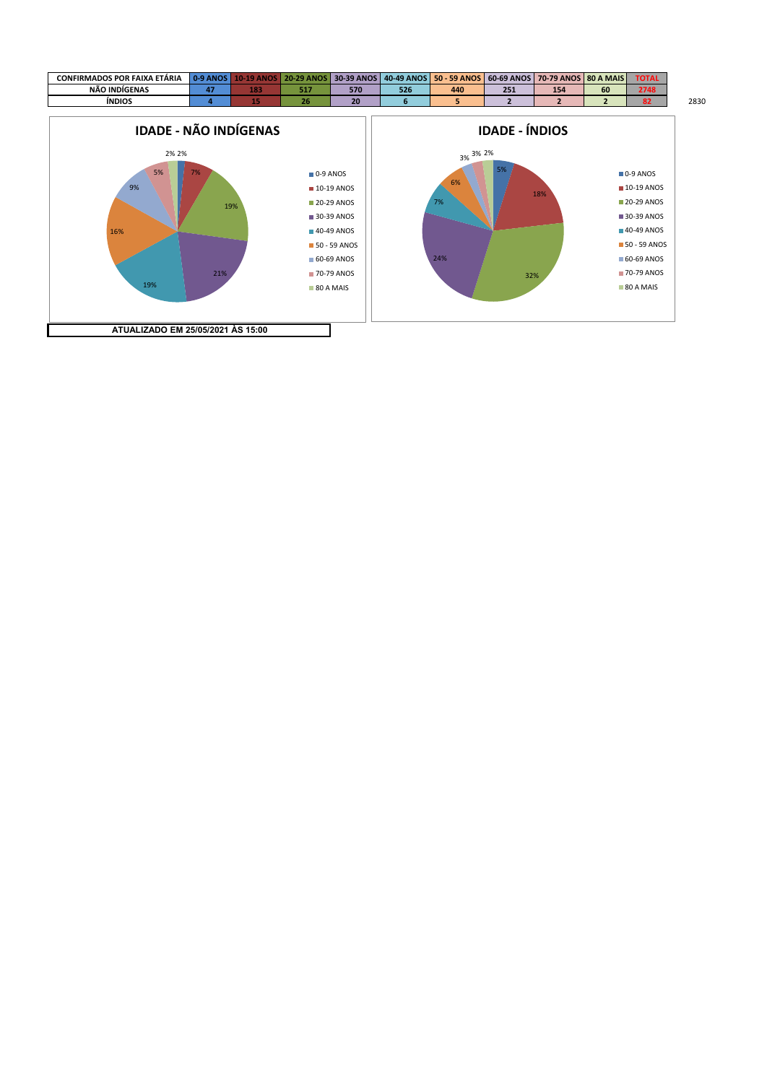

**ATUALIZADO EM 25/05/2021 ÀS 15:00**

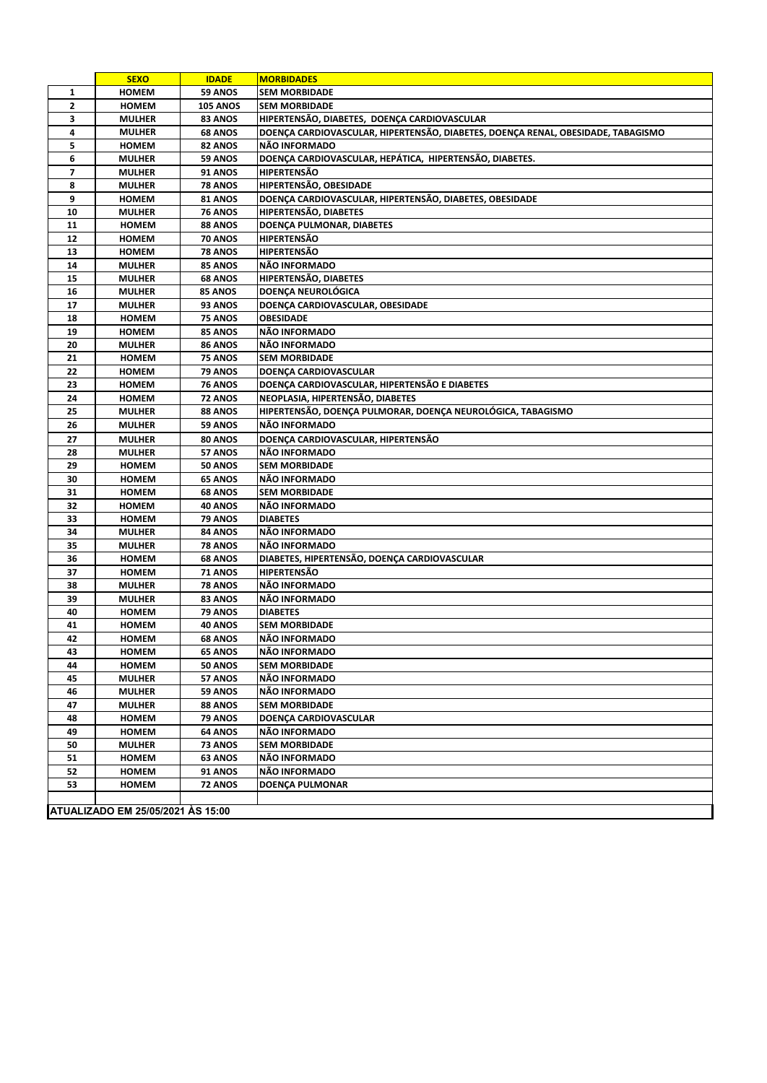|                | <b>SEXO</b>                       | <b>IDADE</b>                     | <b>MORBIDADES</b>                                                                |  |
|----------------|-----------------------------------|----------------------------------|----------------------------------------------------------------------------------|--|
| 1              | <b>HOMEM</b>                      | 59 ANOS                          | <b>SEM MORBIDADE</b>                                                             |  |
| $\mathbf{2}$   | <b>HOMEM</b>                      | <b>105 ANOS</b>                  | <b>SEM MORBIDADE</b>                                                             |  |
| 3              | <b>MULHER</b>                     | 83 ANOS                          | HIPERTENSÃO, DIABETES, DOENÇA CARDIOVASCULAR                                     |  |
| 4              | <b>MULHER</b>                     | <b>68 ANOS</b>                   | DOENÇA CARDIOVASCULAR, HIPERTENSÃO, DIABETES, DOENÇA RENAL, OBESIDADE, TABAGISMO |  |
| 5              | <b>HOMEM</b>                      | 82 ANOS                          | NÃO INFORMADO                                                                    |  |
| 6              | <b>MULHER</b>                     | 59 ANOS                          | DOENÇA CARDIOVASCULAR, HEPÁTICA, HIPERTENSÃO, DIABETES.                          |  |
| $\overline{ }$ | <b>MULHER</b>                     | <b>91 ANOS</b>                   | <b>HIPERTENSÃO</b>                                                               |  |
| 8              | <b>MULHER</b>                     | 78 ANOS                          | HIPERTENSÃO, OBESIDADE                                                           |  |
| 9              | <b>HOMEM</b>                      | 81 ANOS                          | DOENÇA CARDIOVASCULAR, HIPERTENSÃO, DIABETES, OBESIDADE                          |  |
| 10             | <b>MULHER</b>                     | <b>76 ANOS</b>                   | HIPERTENSÃO, DIABETES                                                            |  |
| 11             | <b>HOMEM</b>                      | 88 ANOS                          | DOENÇA PULMONAR, DIABETES                                                        |  |
| 12             | <b>HOMEM</b>                      | 70 ANOS                          | <b>HIPERTENSÃO</b>                                                               |  |
| 13             | <b>HOMEM</b>                      | <b>78 ANOS</b>                   | <b>HIPERTENSÃO</b>                                                               |  |
| 14             | <b>MULHER</b>                     | 85 ANOS                          | NÃO INFORMADO                                                                    |  |
| 15             | <b>MULHER</b>                     | <b>68 ANOS</b>                   | HIPERTENSÃO, DIABETES                                                            |  |
| 16             | <b>MULHER</b>                     | <b>85 ANOS</b>                   | DOENÇA NEUROLÓGICA                                                               |  |
| 17             | <b>MULHER</b>                     | 93 ANOS                          | DOENÇA CARDIOVASCULAR, OBESIDADE                                                 |  |
| 18             | <b>HOMEM</b>                      | 75 ANOS                          | <b>OBESIDADE</b>                                                                 |  |
| 19             | <b>HOMEM</b>                      | 85 ANOS                          | NÃO INFORMADO                                                                    |  |
| 20             | <b>MULHER</b>                     | 86 ANOS                          | NÃO INFORMADO                                                                    |  |
| 21             | <b>HOMEM</b>                      | <b>75 ANOS</b>                   | <b>SEM MORBIDADE</b>                                                             |  |
| 22             | <b>HOMEM</b>                      | 79 ANOS                          | DOENÇA CARDIOVASCULAR                                                            |  |
| 23             | <b>HOMEM</b>                      | <b>76 ANOS</b>                   | DOENÇA CARDIOVASCULAR, HIPERTENSÃO E DIABETES                                    |  |
| 24             | <b>HOMEM</b>                      | 72 ANOS                          | NEOPLASIA, HIPERTENSÃO, DIABETES                                                 |  |
| 25             | <b>MULHER</b>                     | 88 ANOS                          | HIPERTENSÃO, DOENÇA PULMORAR, DOENÇA NEUROLÓGICA, TABAGISMO                      |  |
| 26             | <b>MULHER</b>                     | 59 ANOS                          | NÃO INFORMADO                                                                    |  |
| 27             | <b>MULHER</b>                     | 80 ANOS                          | DOENÇA CARDIOVASCULAR, HIPERTENSÃO                                               |  |
| 28             | <b>MULHER</b>                     | 57 ANOS                          | NÃO INFORMADO                                                                    |  |
| 29             | <b>HOMEM</b>                      | <b>50 ANOS</b>                   | <b>SEM MORBIDADE</b>                                                             |  |
| 30             | <b>HOMEM</b>                      | <b>65 ANOS</b>                   | NÃO INFORMADO                                                                    |  |
| 31             | <b>HOMEM</b>                      | <b>68 ANOS</b>                   | <b>SEM MORBIDADE</b>                                                             |  |
| 32             | <b>HOMEM</b>                      | 40 ANOS                          | NÃO INFORMADO                                                                    |  |
| 33             | <b>HOMEM</b>                      | 79 ANOS                          | <b>DIABETES</b>                                                                  |  |
| 34             | <b>MULHER</b>                     | 84 ANOS                          | NÃO INFORMADO                                                                    |  |
| 35             | <b>MULHER</b>                     | <b>78 ANOS</b>                   | NÃO INFORMADO                                                                    |  |
| 36             | <b>HOMEM</b>                      | <b>68 ANOS</b>                   | DIABETES, HIPERTENSÃO, DOENÇA CARDIOVASCULAR                                     |  |
| 37             | <b>HOMEM</b>                      | <b>71 ANOS</b>                   | <b>HIPERTENSÃO</b>                                                               |  |
| 38             | <b>MULHER</b>                     | <b>78 ANOS</b>                   | NÃO INFORMADO                                                                    |  |
| 39             | <b>MULHER</b>                     | 83 ANOS                          | NÃO INFORMADO                                                                    |  |
| 40<br>41       | <b>HOMEM</b>                      | 79 ANOS                          | <b>DIABETES</b><br><b>SEM MORBIDADE</b>                                          |  |
| 42             | <b>HOMEM</b><br><b>HOMEM</b>      | <b>40 ANOS</b><br><b>68 ANOS</b> | NÃO INFORMADO                                                                    |  |
|                |                                   | <b>65 ANOS</b>                   | <b>NÃO INFORMADO</b>                                                             |  |
| 43<br>44       | <b>HOMEM</b>                      |                                  |                                                                                  |  |
| 45             | <b>HOMEM</b><br><b>MULHER</b>     | 50 ANOS<br>57 ANOS               | <b>SEM MORBIDADE</b><br>NÃO INFORMADO                                            |  |
| 46             | <b>MULHER</b>                     | 59 ANOS                          | NÃO INFORMADO                                                                    |  |
| 47             | <b>MULHER</b>                     | 88 ANOS                          | <b>SEM MORBIDADE</b>                                                             |  |
| 48             | HOMEM                             | 79 ANOS                          | DOENÇA CARDIOVASCULAR                                                            |  |
| 49             | <b>HOMEM</b>                      | <b>64 ANOS</b>                   | NÃO INFORMADO                                                                    |  |
| 50             | <b>MULHER</b>                     | <b>73 ANOS</b>                   | <b>SEM MORBIDADE</b>                                                             |  |
| 51             | <b>HOMEM</b>                      | 63 ANOS                          | NÃO INFORMADO                                                                    |  |
| 52             | <b>HOMEM</b>                      | <b>91 ANOS</b>                   | NÃO INFORMADO                                                                    |  |
| 53             | <b>HOMEM</b>                      | <b>72 ANOS</b>                   | <b>DOENCA PULMONAR</b>                                                           |  |
|                |                                   |                                  |                                                                                  |  |
|                | ATUALIZADO EM 25/05/2021 ÀS 15:00 |                                  |                                                                                  |  |